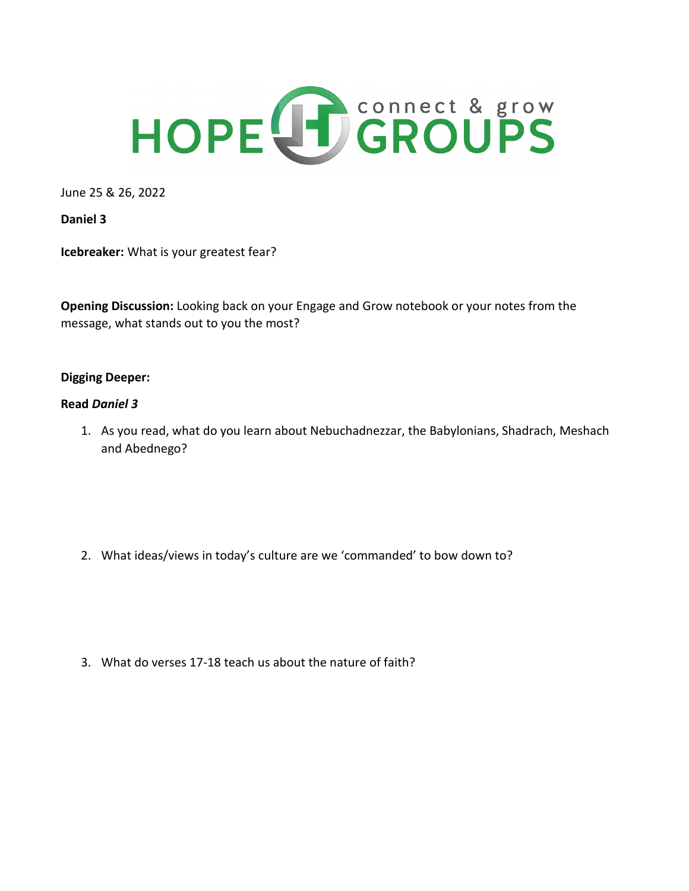

June 25 & 26, 2022

**Daniel 3**

**Icebreaker:** What is your greatest fear?

**Opening Discussion:** Looking back on your Engage and Grow notebook or your notes from the message, what stands out to you the most?

## **Digging Deeper:**

## **Read** *Daniel 3*

1. As you read, what do you learn about Nebuchadnezzar, the Babylonians, Shadrach, Meshach and Abednego?

2. What ideas/views in today's culture are we 'commanded' to bow down to?

3. What do verses 17-18 teach us about the nature of faith?